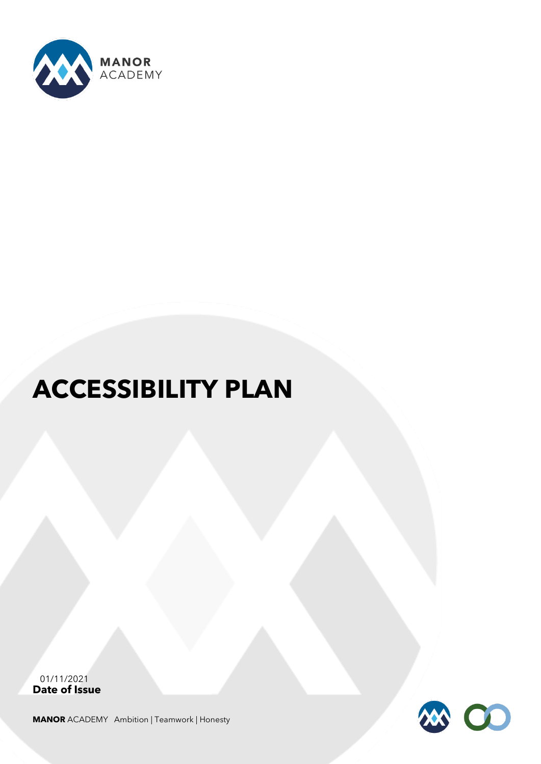

# **ACCESSIBILITY PLAN**

**Date of Issue**  01/11/2021

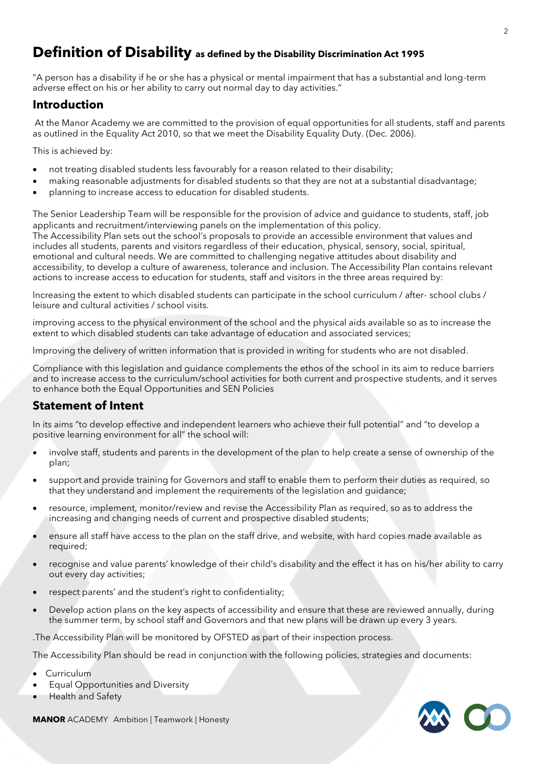# **Definition of Disability as defined by the Disability Discrimination Act 1995**

"A person has a disability if he or she has a physical or mental impairment that has a substantial and long-term adverse effect on his or her ability to carry out normal day to day activities."

#### **Introduction**

At the Manor Academy we are committed to the provision of equal opportunities for all students, staff and parents as outlined in the Equality Act 2010, so that we meet the Disability Equality Duty. (Dec. 2006).

This is achieved by:

- not treating disabled students less favourably for a reason related to their disability;
- making reasonable adjustments for disabled students so that they are not at a substantial disadvantage;
- planning to increase access to education for disabled students.

The Senior Leadership Team will be responsible for the provision of advice and guidance to students, staff, job applicants and recruitment/interviewing panels on the implementation of this policy. The Accessibility Plan sets out the school's proposals to provide an accessible environment that values and includes all students, parents and visitors regardless of their education, physical, sensory, social, spiritual, emotional and cultural needs. We are committed to challenging negative attitudes about disability and accessibility, to develop a culture of awareness, tolerance and inclusion. The Accessibility Plan contains relevant actions to increase access to education for students, staff and visitors in the three areas required by:

Increasing the extent to which disabled students can participate in the school curriculum / after- school clubs / leisure and cultural activities / school visits.

improving access to the physical environment of the school and the physical aids available so as to increase the extent to which disabled students can take advantage of education and associated services;

Improving the delivery of written information that is provided in writing for students who are not disabled.

Compliance with this legislation and guidance complements the ethos of the school in its aim to reduce barriers and to increase access to the curriculum/school activities for both current and prospective students, and it serves to enhance both the Equal Opportunities and SEN Policies

### **Statement of Intent**

In its aims "to develop effective and independent learners who achieve their full potential" and "to develop a positive learning environment for all" the school will:

- involve staff, students and parents in the development of the plan to help create a sense of ownership of the plan;
- support and provide training for Governors and staff to enable them to perform their duties as required, so that they understand and implement the requirements of the legislation and guidance;
- resource, implement, monitor/review and revise the Accessibility Plan as required, so as to address the increasing and changing needs of current and prospective disabled students;
- ensure all staff have access to the plan on the staff drive, and website, with hard copies made available as required;
- recognise and value parents' knowledge of their child's disability and the effect it has on his/her ability to carry out every day activities;
- respect parents' and the student's right to confidentiality;
- Develop action plans on the key aspects of accessibility and ensure that these are reviewed annually, during the summer term, by school staff and Governors and that new plans will be drawn up every 3 years.

.The Accessibility Plan will be monitored by OFSTED as part of their inspection process.

The Accessibility Plan should be read in conjunction with the following policies, strategies and documents:

- **Curriculum**
- Equal Opportunities and Diversity
- Health and Safety

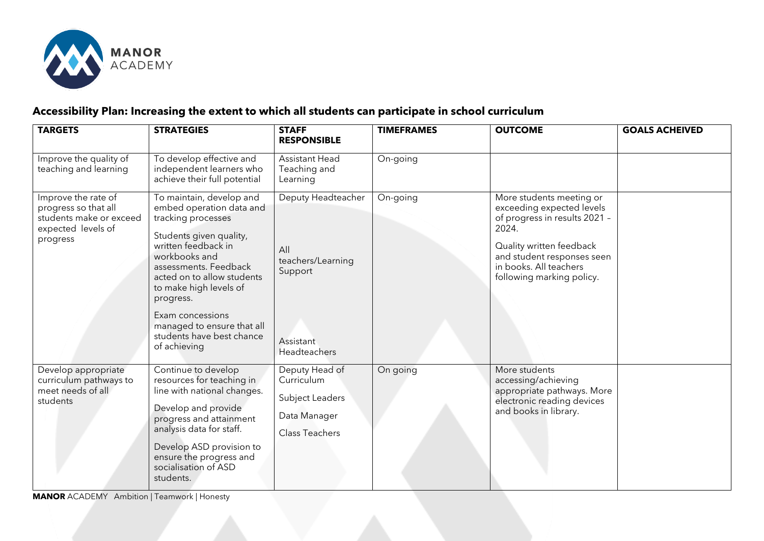

# **Accessibility Plan: Increasing the extent to which all students can participate in school curriculum**

| <b>TARGETS</b>                                                                                           | <b>STRATEGIES</b>                                                                                                                                                                                                                                                                                                                          | <b>STAFF</b><br><b>RESPONSIBLE</b>                                                            | <b>TIMEFRAMES</b> | <b>OUTCOME</b>                                                                                                                                                                                                   | <b>GOALS ACHEIVED</b> |
|----------------------------------------------------------------------------------------------------------|--------------------------------------------------------------------------------------------------------------------------------------------------------------------------------------------------------------------------------------------------------------------------------------------------------------------------------------------|-----------------------------------------------------------------------------------------------|-------------------|------------------------------------------------------------------------------------------------------------------------------------------------------------------------------------------------------------------|-----------------------|
| Improve the quality of<br>teaching and learning                                                          | To develop effective and<br>independent learners who<br>achieve their full potential                                                                                                                                                                                                                                                       | <b>Assistant Head</b><br>Teaching and<br>Learning                                             | On-going          |                                                                                                                                                                                                                  |                       |
| Improve the rate of<br>progress so that all<br>students make or exceed<br>expected levels of<br>progress | To maintain, develop and<br>embed operation data and<br>tracking processes<br>Students given quality,<br>written feedback in<br>workbooks and<br>assessments. Feedback<br>acted on to allow students<br>to make high levels of<br>progress.<br>Exam concessions<br>managed to ensure that all<br>students have best chance<br>of achieving | Deputy Headteacher<br>All<br>teachers/Learning<br>Support<br>Assistant<br><b>Headteachers</b> | On-going          | More students meeting or<br>exceeding expected levels<br>of progress in results 2021 -<br>2024.<br>Quality written feedback<br>and student responses seen<br>in books. All teachers<br>following marking policy. |                       |
| Develop appropriate<br>curriculum pathways to<br>meet needs of all<br>students                           | Continue to develop<br>resources for teaching in<br>line with national changes.<br>Develop and provide<br>progress and attainment<br>analysis data for staff.<br>Develop ASD provision to<br>ensure the progress and<br>socialisation of ASD<br>students.                                                                                  | Deputy Head of<br>Curriculum<br>Subject Leaders<br>Data Manager<br><b>Class Teachers</b>      | On going          | More students<br>accessing/achieving<br>appropriate pathways. More<br>electronic reading devices<br>and books in library.                                                                                        |                       |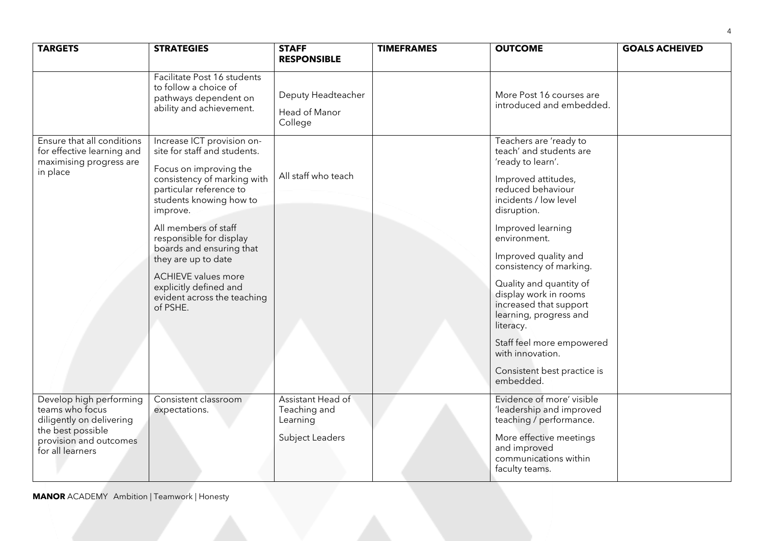| <b>TARGETS</b>                                                                                                                            | <b>STRATEGIES</b>                                                                                                                                                                                                                                                                                                                                                                              | <b>STAFF</b><br><b>RESPONSIBLE</b>                               | <b>TIMEFRAMES</b> | <b>OUTCOME</b>                                                                                                                                                                                                                                                                                                                                                                                                                                                       | <b>GOALS ACHEIVED</b> |
|-------------------------------------------------------------------------------------------------------------------------------------------|------------------------------------------------------------------------------------------------------------------------------------------------------------------------------------------------------------------------------------------------------------------------------------------------------------------------------------------------------------------------------------------------|------------------------------------------------------------------|-------------------|----------------------------------------------------------------------------------------------------------------------------------------------------------------------------------------------------------------------------------------------------------------------------------------------------------------------------------------------------------------------------------------------------------------------------------------------------------------------|-----------------------|
|                                                                                                                                           | Facilitate Post 16 students<br>to follow a choice of<br>pathways dependent on<br>ability and achievement.                                                                                                                                                                                                                                                                                      | Deputy Headteacher<br>Head of Manor<br>College                   |                   | More Post 16 courses are<br>introduced and embedded.                                                                                                                                                                                                                                                                                                                                                                                                                 |                       |
| Ensure that all conditions<br>for effective learning and<br>maximising progress are<br>in place                                           | Increase ICT provision on-<br>site for staff and students.<br>Focus on improving the<br>consistency of marking with<br>particular reference to<br>students knowing how to<br>improve.<br>All members of staff<br>responsible for display<br>boards and ensuring that<br>they are up to date<br><b>ACHIEVE values more</b><br>explicitly defined and<br>evident across the teaching<br>of PSHE. | All staff who teach                                              |                   | Teachers are 'ready to<br>teach' and students are<br>'ready to learn'.<br>Improved attitudes,<br>reduced behaviour<br>incidents / low level<br>disruption.<br>Improved learning<br>environment.<br>Improved quality and<br>consistency of marking.<br>Quality and quantity of<br>display work in rooms<br>increased that support<br>learning, progress and<br>literacy.<br>Staff feel more empowered<br>with innovation.<br>Consistent best practice is<br>embedded. |                       |
| Develop high performing<br>teams who focus<br>diligently on delivering<br>the best possible<br>provision and outcomes<br>for all learners | Consistent classroom<br>expectations.                                                                                                                                                                                                                                                                                                                                                          | Assistant Head of<br>Teaching and<br>Learning<br>Subject Leaders |                   | Evidence of more' visible<br>'leadership and improved<br>teaching / performance.<br>More effective meetings<br>and improved<br>communications within<br>faculty teams.                                                                                                                                                                                                                                                                                               |                       |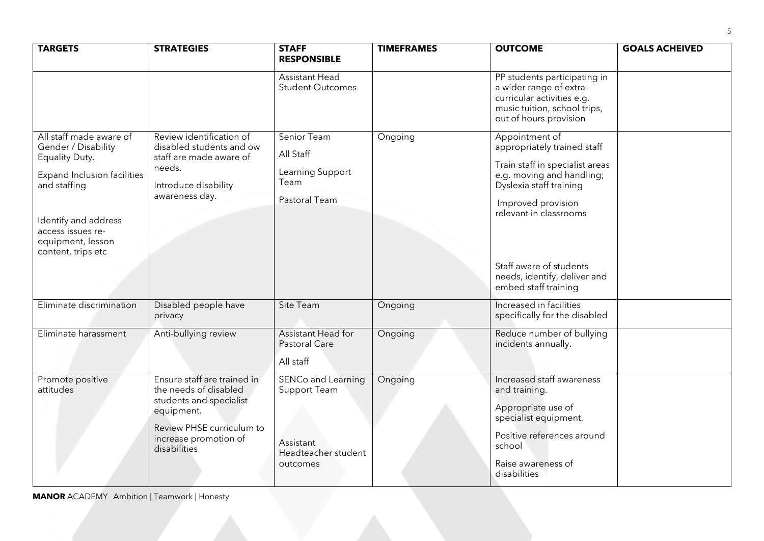| <b>TARGETS</b>                                                                                                                                                                                                 | <b>STRATEGIES</b>                                                                                                                                                   | <b>STAFF</b><br><b>RESPONSIBLE</b>                                                        | <b>TIMEFRAMES</b> | <b>OUTCOME</b>                                                                                                                                                                                                                                                              | <b>GOALS ACHEIVED</b> |
|----------------------------------------------------------------------------------------------------------------------------------------------------------------------------------------------------------------|---------------------------------------------------------------------------------------------------------------------------------------------------------------------|-------------------------------------------------------------------------------------------|-------------------|-----------------------------------------------------------------------------------------------------------------------------------------------------------------------------------------------------------------------------------------------------------------------------|-----------------------|
|                                                                                                                                                                                                                |                                                                                                                                                                     | <b>Assistant Head</b><br><b>Student Outcomes</b>                                          |                   | PP students participating in<br>a wider range of extra-<br>curricular activities e.g.<br>music tuition, school trips,<br>out of hours provision                                                                                                                             |                       |
| All staff made aware of<br>Gender / Disability<br>Equality Duty.<br><b>Expand Inclusion facilities</b><br>and staffing<br>Identify and address<br>access issues re-<br>equipment, lesson<br>content, trips etc | Review identification of<br>disabled students and ow<br>staff are made aware of<br>needs.<br>Introduce disability<br>awareness day.                                 | Senior Team<br>All Staff<br>Learning Support<br>Team<br>Pastoral Team                     | Ongoing           | Appointment of<br>appropriately trained staff<br>Train staff in specialist areas<br>e.g. moving and handling;<br>Dyslexia staff training<br>Improved provision<br>relevant in classrooms<br>Staff aware of students<br>needs, identify, deliver and<br>embed staff training |                       |
| Eliminate discrimination                                                                                                                                                                                       | Disabled people have<br>privacy                                                                                                                                     | Site Team                                                                                 | Ongoing           | Increased in facilities<br>specifically for the disabled                                                                                                                                                                                                                    |                       |
| Eliminate harassment                                                                                                                                                                                           | Anti-bullying review                                                                                                                                                | Assistant Head for<br><b>Pastoral Care</b><br>All staff                                   | Ongoing           | Reduce number of bullying<br>incidents annually.                                                                                                                                                                                                                            |                       |
| Promote positive<br>attitudes                                                                                                                                                                                  | Ensure staff are trained in<br>the needs of disabled<br>students and specialist<br>equipment.<br>Review PHSE curriculum to<br>increase promotion of<br>disabilities | <b>SENCo and Learning</b><br>Support Team<br>Assistant<br>Headteacher student<br>outcomes | Ongoing           | Increased staff awareness<br>and training.<br>Appropriate use of<br>specialist equipment.<br>Positive references around<br>school<br>Raise awareness of<br>disabilities                                                                                                     |                       |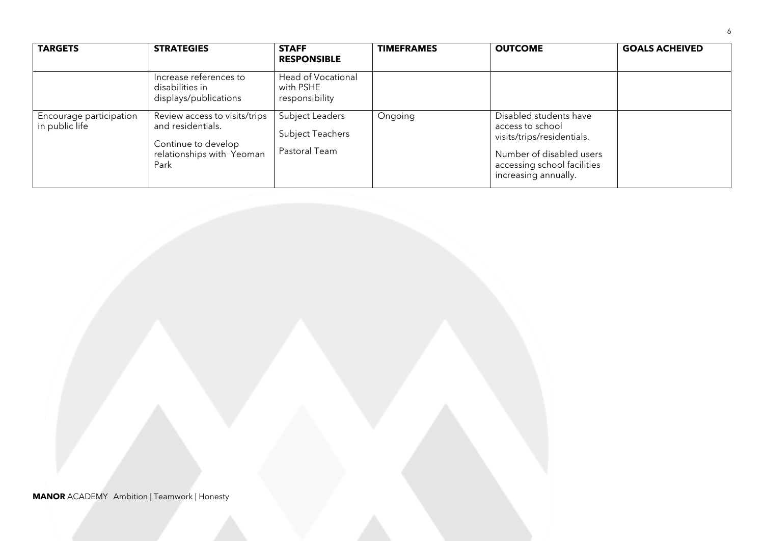| <b>TARGETS</b>                            | <b>STRATEGIES</b>                                                                                              | <b>STAFF</b><br><b>RESPONSIBLE</b>                          | <b>TIMEFRAMES</b> | <b>OUTCOME</b>                                                                                                                                              | <b>GOALS ACHEIVED</b> |
|-------------------------------------------|----------------------------------------------------------------------------------------------------------------|-------------------------------------------------------------|-------------------|-------------------------------------------------------------------------------------------------------------------------------------------------------------|-----------------------|
|                                           | Increase references to<br>disabilities in<br>displays/publications                                             | Head of Vocational<br>with PSHE<br>responsibility           |                   |                                                                                                                                                             |                       |
| Encourage participation<br>in public life | Review access to visits/trips<br>and residentials.<br>Continue to develop<br>relationships with Yeoman<br>Park | Subject Leaders<br><b>Subject Teachers</b><br>Pastoral Team | Ongoing           | Disabled students have<br>access to school<br>visits/trips/residentials.<br>Number of disabled users<br>accessing school facilities<br>increasing annually. |                       |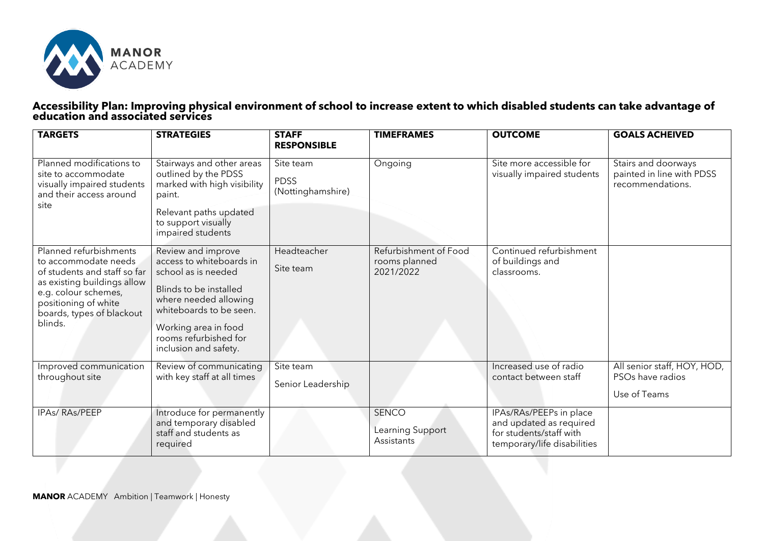

#### **Accessibility Plan: Improving physical environment of school to increase extent to which disabled students can take advantage of education and associated services**

| <b>TARGETS</b>                                                                                                                                                                                        | <b>STRATEGIES</b>                                                                                                                                                                                                             | <b>STAFF</b><br><b>RESPONSIBLE</b>            | <b>TIMEFRAMES</b>                                   | <b>OUTCOME</b>                                                                                               | <b>GOALS ACHEIVED</b>                                                |
|-------------------------------------------------------------------------------------------------------------------------------------------------------------------------------------------------------|-------------------------------------------------------------------------------------------------------------------------------------------------------------------------------------------------------------------------------|-----------------------------------------------|-----------------------------------------------------|--------------------------------------------------------------------------------------------------------------|----------------------------------------------------------------------|
| Planned modifications to<br>site to accommodate<br>visually impaired students<br>and their access around<br>site                                                                                      | Stairways and other areas<br>outlined by the PDSS<br>marked with high visibility<br>paint.<br>Relevant paths updated<br>to support visually<br>impaired students                                                              | Site team<br><b>PDSS</b><br>(Nottinghamshire) | Ongoing                                             | Site more accessible for<br>visually impaired students                                                       | Stairs and doorways<br>painted in line with PDSS<br>recommendations. |
| Planned refurbishments<br>to accommodate needs<br>of students and staff so far<br>as existing buildings allow<br>e.g. colour schemes,<br>positioning of white<br>boards, types of blackout<br>blinds. | Review and improve<br>access to whiteboards in<br>school as is needed<br>Blinds to be installed<br>where needed allowing<br>whiteboards to be seen.<br>Working area in food<br>rooms refurbished for<br>inclusion and safety. | Headteacher<br>Site team                      | Refurbishment of Food<br>rooms planned<br>2021/2022 | Continued refurbishment<br>of buildings and<br>classrooms.                                                   |                                                                      |
| Improved communication<br>throughout site                                                                                                                                                             | Review of communicating<br>with key staff at all times                                                                                                                                                                        | Site team<br>Senior Leadership                |                                                     | Increased use of radio<br>contact between staff                                                              | All senior staff, HOY, HOD,<br>PSOs have radios<br>Use of Teams      |
| <b>IPAs/RAs/PEEP</b>                                                                                                                                                                                  | Introduce for permanently<br>and temporary disabled<br>staff and students as<br>required                                                                                                                                      |                                               | <b>SENCO</b><br>Learning Support<br>Assistants      | IPAs/RAs/PEEPs in place<br>and updated as required<br>for students/staff with<br>temporary/life disabilities |                                                                      |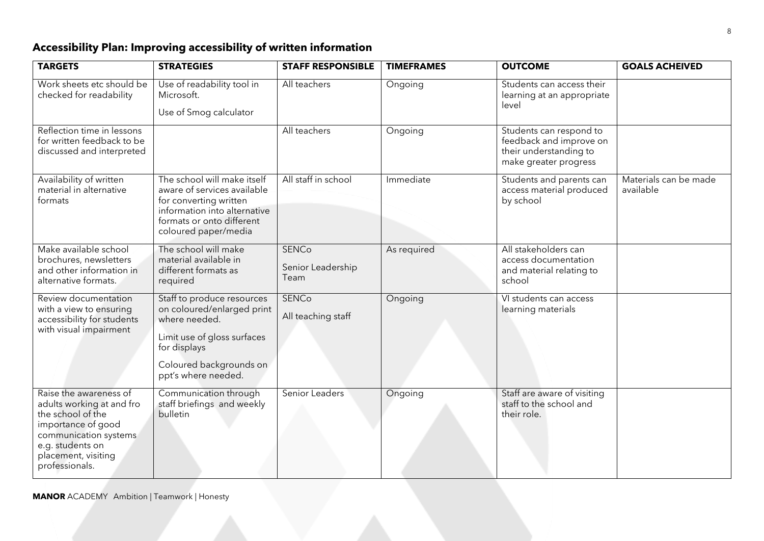# **Accessibility Plan: Improving accessibility of written information**

| <b>TARGETS</b>                                                                                                                                                                       | <b>STRATEGIES</b>                                                                                                                                                          | <b>STAFF RESPONSIBLE</b>                  | <b>TIMEFRAMES</b> | <b>OUTCOME</b>                                                                                        | <b>GOALS ACHEIVED</b>              |
|--------------------------------------------------------------------------------------------------------------------------------------------------------------------------------------|----------------------------------------------------------------------------------------------------------------------------------------------------------------------------|-------------------------------------------|-------------------|-------------------------------------------------------------------------------------------------------|------------------------------------|
| Work sheets etc should be<br>checked for readability                                                                                                                                 | Use of readability tool in<br>Microsoft.<br>Use of Smog calculator                                                                                                         | All teachers                              | Ongoing           | Students can access their<br>learning at an appropriate<br>level                                      |                                    |
| Reflection time in lessons<br>for written feedback to be<br>discussed and interpreted                                                                                                |                                                                                                                                                                            | All teachers                              | Ongoing           | Students can respond to<br>feedback and improve on<br>their understanding to<br>make greater progress |                                    |
| Availability of written<br>material in alternative<br>formats                                                                                                                        | The school will make itself<br>aware of services available<br>for converting written<br>information into alternative<br>formats or onto different<br>coloured paper/media  | All staff in school                       | Immediate         | Students and parents can<br>access material produced<br>by school                                     | Materials can be made<br>available |
| Make available school<br>brochures, newsletters<br>and other information in<br>alternative formats.                                                                                  | The school will make<br>material available in<br>different formats as<br>required                                                                                          | <b>SENCo</b><br>Senior Leadership<br>Team | As required       | All stakeholders can<br>access documentation<br>and material relating to<br>school                    |                                    |
| Review documentation<br>with a view to ensuring<br>accessibility for students<br>with visual impairment                                                                              | Staff to produce resources<br>on coloured/enlarged print<br>where needed.<br>Limit use of gloss surfaces<br>for displays<br>Coloured backgrounds on<br>ppt's where needed. | <b>SENCo</b><br>All teaching staff        | Ongoing           | VI students can access<br>learning materials                                                          |                                    |
| Raise the awareness of<br>adults working at and fro<br>the school of the<br>importance of good<br>communication systems<br>e.g. students on<br>placement, visiting<br>professionals. | Communication through<br>staff briefings and weekly<br>bulletin                                                                                                            | Senior Leaders                            | Ongoing           | Staff are aware of visiting<br>staff to the school and<br>their role.                                 |                                    |